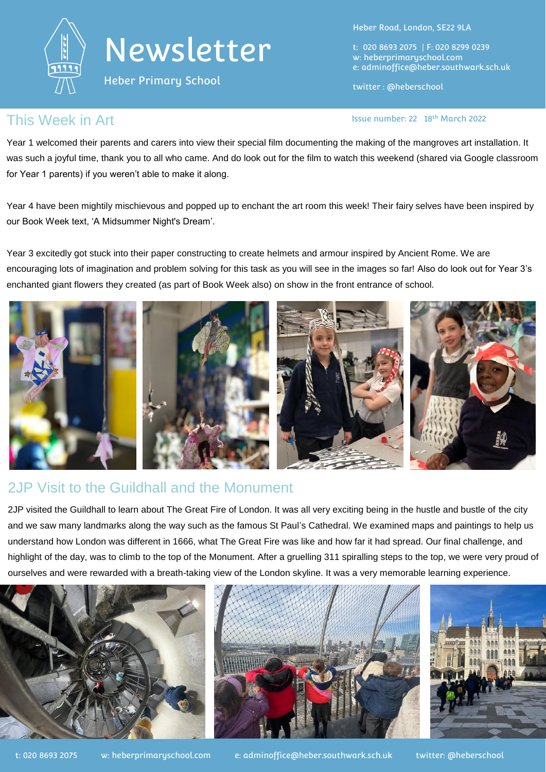

Heber Primary School

Heber Road, London, SE22 9LA

t: 020 8693 2075 | F: 020 8299 0239 w: heberprimaryschool.com e: [adminoffice@heber.southwark.sch.uk](mailto:adminoffice@heber.southwark.sch.uk)

twitter : @heberschool

### This Week in Art **Interpretate and Contact Contact Contact Contact Contact Contact Contact Contact Contact Contact Contact Contact Contact Contact Contact Contact Contact Contact Contact Contact Contact Contact Contact Con**

Year 1 welcomed their parents and carers into view their special film documenting the making of the mangroves art installation. It was such a joyful time, thank you to all who came. And do look out for the film to watch this weekend (shared via Google classroom for Year 1 parents) if you weren't able to make it along.

Year 4 have been mightily mischievous and popped up to enchant the art room this week! Their fairy selves have been inspired by our Book Week text, 'A Midsummer Night's Dream'.

Year 3 excitedly got stuck into their paper constructing to create helmets and armour inspired by Ancient Rome. We are encouraging lots of imagination and problem solving for this task as you will see in the images so far! Also do look out for Year 3's enchanted giant flowers they created (as part of Book Week also) on show in the front entrance of school.



## 2JP Visit to the Guildhall and the Monument

2JP visited the Guildhall to learn about The Great Fire of London. It was all very exciting being in the hustle and bustle of the city and we saw many landmarks along the way such as the famous St Paul's Cathedral. We examined maps and paintings to help us understand how London was different in 1666, what The Great Fire was like and how far it had spread. Our final challenge, and highlight of the day, was to climb to the top of the Monument. After a gruelling 311 spiralling steps to the top, we were very proud of ourselves and were rewarded with a breath-taking view of the London skyline. It was a very memorable learning experience.

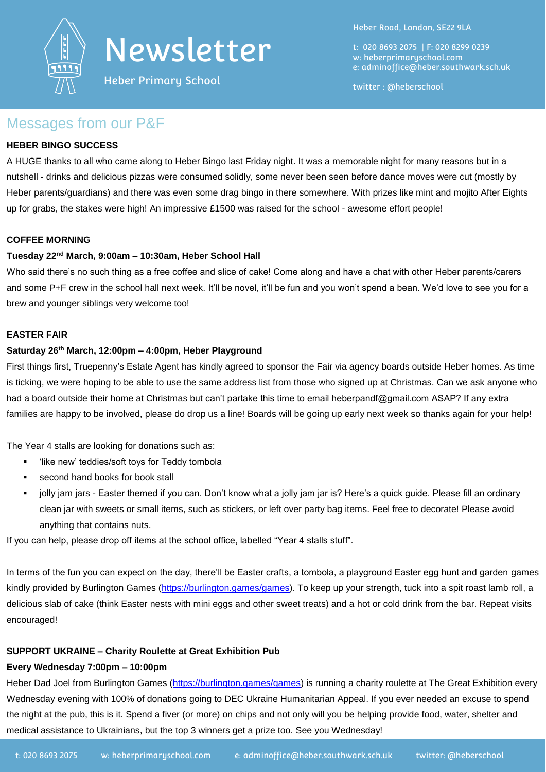

Heber Primary School

Heber Road, London, SE22 9LA

t: 020 8693 2075 | F: 020 8299 0239 w: heberprimaryschool.com e: [adminoffice@heber.southwark.sch.uk](mailto:adminoffice@heber.southwark.sch.uk)

twitter : @heberschool

### Messages from our P&F

### **HEBER BINGO SUCCESS**

A HUGE thanks to all who came along to Heber Bingo last Friday night. It was a memorable night for many reasons but in a nutshell - drinks and delicious pizzas were consumed solidly, some never been seen before dance moves were cut (mostly by Heber parents/guardians) and there was even some drag bingo in there somewhere. With prizes like mint and mojito After Eights up for grabs, the stakes were high! An impressive £1500 was raised for the school - awesome effort people!

### **COFFEE MORNING**

#### **Tuesday 22nd March, 9:00am – 10:30am, Heber School Hall**

Who said there's no such thing as a free coffee and slice of cake! Come along and have a chat with other Heber parents/carers and some P+F crew in the school hall next week. It'll be novel, it'll be fun and you won't spend a bean. We'd love to see you for a brew and younger siblings very welcome too!

#### **EASTER FAIR**

#### **Saturday 26th March, 12:00pm – 4:00pm, Heber Playground**

First things first, Truepenny's Estate Agent has kindly agreed to sponsor the Fair via agency boards outside Heber homes. As time is ticking, we were hoping to be able to use the same address list from those who signed up at Christmas. Can we ask anyone who had a board outside their home at Christmas but can't partake this time to email heberpandf@gmail.com ASAP? If any extra families are happy to be involved, please do drop us a line! Boards will be going up early next week so thanks again for your help!

The Year 4 stalls are looking for donations such as:

- 'like new' teddies/soft toys for Teddy tombola
- **second hand books for book stall**
- jolly jam jars Easter themed if you can. Don't know what a jolly jam jar is? Here's a quick guide. Please fill an ordinary clean jar with sweets or small items, such as stickers, or left over party bag items. Feel free to decorate! Please avoid anything that contains nuts.

If you can help, please drop off items at the school office, labelled "Year 4 stalls stuff".

In terms of the fun you can expect on the day, there'll be Easter crafts, a tombola, a playground Easter egg hunt and garden games kindly provided by Burlington Games [\(https://burlington.games/games\)](https://burlington.games/games). To keep up your strength, tuck into a spit roast lamb roll, a delicious slab of cake (think Easter nests with mini eggs and other sweet treats) and a hot or cold drink from the bar. Repeat visits encouraged!

### **SUPPORT UKRAINE – Charity Roulette at Great Exhibition Pub**

#### **Every Wednesday 7:00pm – 10:00pm**

Heber Dad Joel from Burlington Games [\(https://burlington.games/games\)](https://burlington.games/games) is running a charity roulette at The Great Exhibition every Wednesday evening with 100% of donations going to DEC Ukraine Humanitarian Appeal. If you ever needed an excuse to spend the night at the pub, this is it. Spend a fiver (or more) on chips and not only will you be helping provide food, water, shelter and medical assistance to Ukrainians, but the top 3 winners get a prize too. See you Wednesday!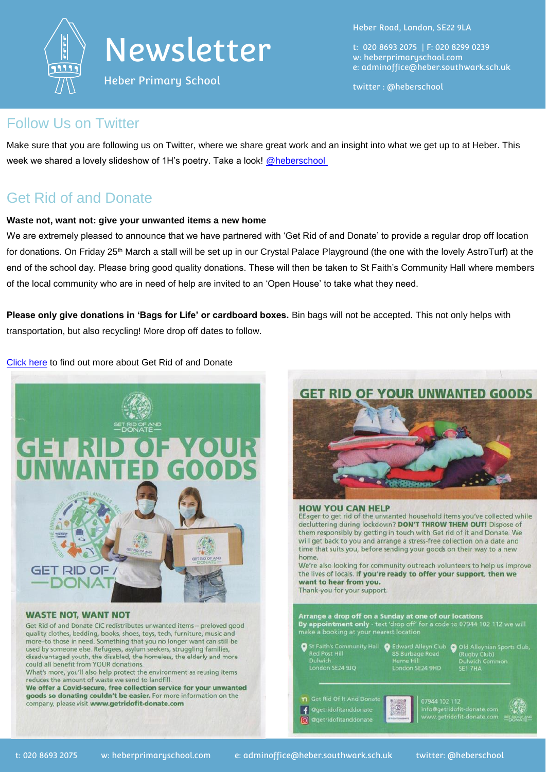

Heber Primary School

Heber Road, London, SE22 9LA

t: 020 8693 2075 | F: 020 8299 0239 w: heberprimaryschool.com e: [adminoffice@heber.southwark.sch.uk](mailto:adminoffice@heber.southwark.sch.uk)

twitter : @heberschool

### Follow Us on Twitter

Make sure that you are following us on Twitter, where we share great work and an insight into what we get up to at Heber. This week we shared a lovely slideshow of 1H's poetry. Take a look! @heberschool

## Get Rid of and Donate

### **Waste not, want not: give your unwanted items a new home**

We are extremely pleased to announce that we have partnered with 'Get Rid of and Donate' to provide a regular drop off location for donations. On Friday 25<sup>th</sup> March a stall will be set up in our Crystal Palace Playground (the one with the lovely AstroTurf) at the end of the school day. Please bring good quality donations. These will then be taken to St Faith's Community Hall where members of the local community who are in need of help are invited to an 'Open House' to take what they need.

**Please only give donations in 'Bags for Life' or cardboard boxes.** Bin bags will not be accepted. This not only helps with transportation, but also recycling! More drop off dates to follow.

[Click here](https://www.getridofit-donate.com/) to find out more about Get Rid of and Donate



Get Rid of and Donate CIC redistributes unwanted items - preloved good quality clothes, bedding, books, shoes, toys, tech, furniture, music and more-to those in need. Something that you no longer want can still be used by someone else. Refugees, asylum seekers, struggling families, disadvantaged youth, the disabled, the homeless, the elderly and more could all benefit from YOUR donations.

What's more, you'll also help protect the environment as reusing items reduces the amount of waste we send to landfill.

We offer a Covid-secure, free collection service for your unwanted goods so donating couldn't be easier. For more information on the company, please visit www.getridofit-donate.com

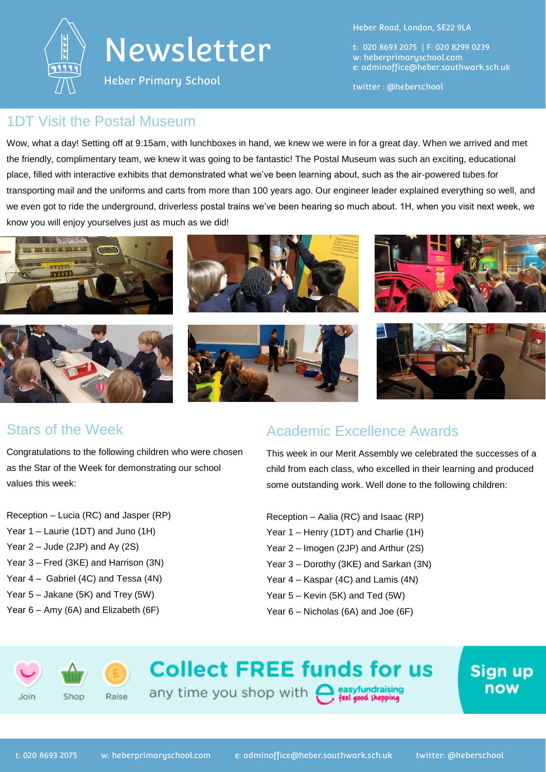

Heber Primary School

Heber Road, London, SE22 9LA

t: 020 8693 2075 | F: 020 8299 0239 w: heberprimaryschool.com e: [adminoffice@heber.southwark.sch.uk](mailto:adminoffice@heber.southwark.sch.uk)

twitter : @heberschool

### 1DT Visit the Postal Museum

Wow, what a day! Setting off at 9:15am, with lunchboxes in hand, we knew we were in for a great day. When we arrived and met the friendly, complimentary team, we knew it was going to be fantastic! The Postal Museum was such an exciting, educational place, filled with interactive exhibits that demonstrated what we've been learning about, such as the air-powered tubes for transporting mail and the uniforms and carts from more than 100 years ago. Our engineer leader explained everything so well, and we even got to ride the underground, driverless postal trains we've been hearing so much about. 1H, when you visit next week, we know you will enjoy yourselves just as much as we did!



## Stars of the Week

Congratulations to the following children who were chosen as the Star of the Week for demonstrating our school values this week:

- Reception Lucia (RC) and Jasper (RP) Year 1 – Laurie (1DT) and Juno (1H) Year 2 – Jude (2JP) and Ay (2S) Year 3 – Fred (3KE) and Harrison (3N) Year 4 – Gabriel (4C) and Tessa (4N)
- 
- Year 5 Jakane (5K) and Trey (5W) Year 6 – Amy (6A) and Elizabeth (6F)

## Academic Excellence Awards

This week in our Merit Assembly we celebrated the successes of a child from each class, who excelled in their learning and produced some outstanding work. Well done to the following children:

> Sign up now

- Reception Aalia (RC) and Isaac (RP)
- Year 1 Henry (1DT) and Charlie (1H)
- Year 2 Imogen (2JP) and Arthur (2S)
- Year 3 Dorothy (3KE) and Sarkan (3N)
- Year 4 Kaspar (4C) and Lamis (4N)
- Year 5 Kevin (5K) and Ted (5W)
- Year 6 Nicholas (6A) and Joe (6F)

Join



Raise

## **Collect FREE funds for us**

any time you shop with estayfundraising

t: 020 8693 2075 w: heberprimaryschool.com e: [adminoffice@heber.southwark.sch.uk](mailto:adminoffice@heber.southwark.sch.uk) twitter: @heberschool